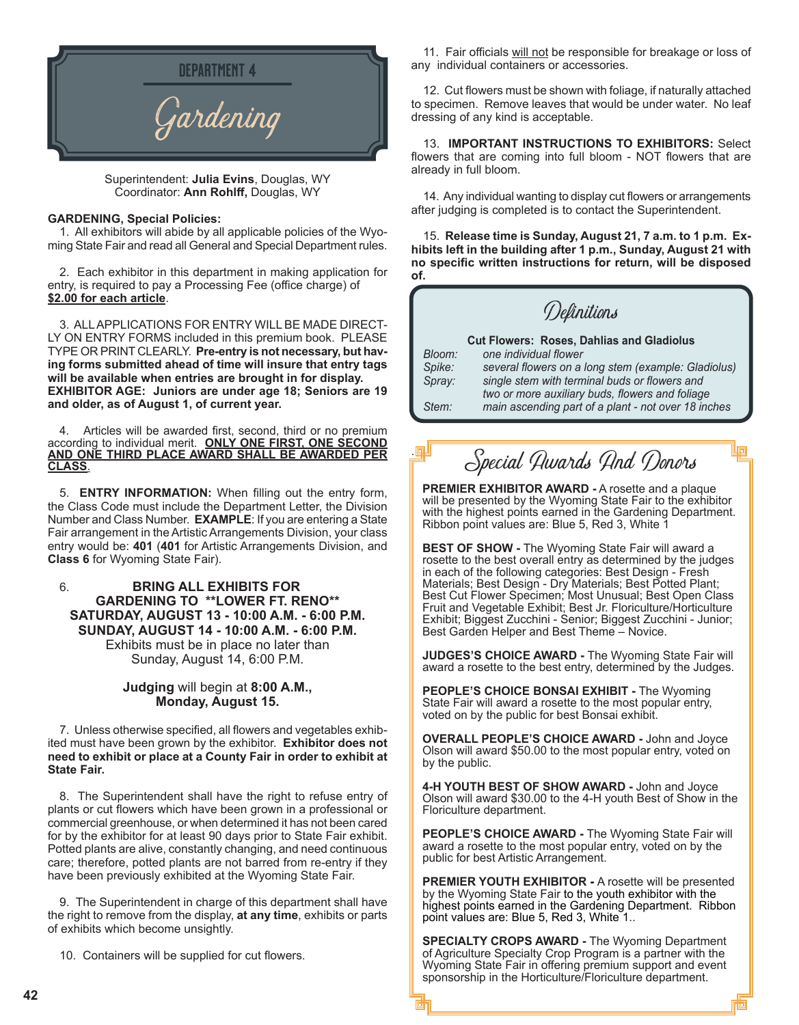

Superintendent: **Julia Evins**, Douglas, WY Coordinator: **Ann Rohlff,** Douglas, WY

#### **GARDENING, Special Policies:**

1. All exhibitors will abide by all applicable policies of the Wyoming State Fair and read all General and Special Department rules.

2. Each exhibitor in this department in making application for entry, is required to pay a Processing Fee (office charge) of **\$2.00 for each article**.

3. ALL APPLICATIONS FOR ENTRY WILL BE MADE DIRECT-LY ON ENTRY FORMS included in this premium book. PLEASE TYPE OR PRINT CLEARLY. **Pre-entry is not necessary, but having forms submitted ahead of time will insure that entry tags will be available when entries are brought in for display. EXHIBITOR AGE: Juniors are under age 18; Seniors are 19 and older, as of August 1, of current year.**

4. Articles will be awarded first, second, third or no premium according to individual merit. **ONLY ONE FIRST, ONE SECOND AND ONE THIRD PLACE AWARD SHALL BE AWARDED PER CLASS**.

5. **ENTRY INFORMATION:** When filling out the entry form, the Class Code must include the Department Letter, the Division Number and Class Number. **EXAMPLE**: If you are entering a State Fair arrangement in the Artistic Arrangements Division, your class entry would be: **401** (**401** for Artistic Arrangements Division, and **Class 6** for Wyoming State Fair).

6. **BRING ALL EXHIBITS FOR GARDENING TO \*\*LOWER FT. RENO\*\* SATURDAY, AUGUST 13 - 10:00 A.M. - 6:00 P.M. SUNDAY, AUGUST 14 - 10:00 A.M. - 6:00 P.M.** Exhibits must be in place no later than Sunday, August 14, 6:00 P.M.

#### **Judging** will begin at **8:00 A.M., Monday, August 15.**

7. Unless otherwise specified, all flowers and vegetables exhibited must have been grown by the exhibitor. **Exhibitor does not need to exhibit or place at a County Fair in order to exhibit at State Fair.**

8. The Superintendent shall have the right to refuse entry of plants or cut flowers which have been grown in a professional or commercial greenhouse, or when determined it has not been cared for by the exhibitor for at least 90 days prior to State Fair exhibit. Potted plants are alive, constantly changing, and need continuous care; therefore, potted plants are not barred from re-entry if they have been previously exhibited at the Wyoming State Fair.

9. The Superintendent in charge of this department shall have the right to remove from the display, **at any time**, exhibits or parts of exhibits which become unsightly.

10. Containers will be supplied for cut flowers.

11. Fair officials will not be responsible for breakage or loss of any individual containers or accessories.

12. Cut flowers must be shown with foliage, if naturally attached to specimen. Remove leaves that would be under water. No leaf dressing of any kind is acceptable.

13. **IMPORTANT INSTRUCTIONS TO EXHIBITORS:** Select flowers that are coming into full bloom - NOT flowers that are already in full bloom.

14. Any individual wanting to display cut flowers or arrangements after judging is completed is to contact the Superintendent.

15. **Release time is Sunday, August 21, 7 a.m. to 1 p.m. Exhibits left in the building after 1 p.m., Sunday, August 21 with no specific written instructions for return, will be disposed of.**

Definitions

|        | <b>Cut Flowers: Roses, Dahlias and Gladiolus</b>    |
|--------|-----------------------------------------------------|
| Bloom: | one individual flower                               |
| Spike: | several flowers on a long stem (example: Gladiolus) |
| Spray: | single stem with terminal buds or flowers and       |
|        | two or more auxiliary buds, flowers and foliage     |
| Stem:  | main ascending part of a plant - not over 18 inches |

# Special Awards And Donors

.

**PREMIER EXHIBITOR AWARD -** A rosette and a plaque will be presented by the Wyoming State Fair to the exhibitor with the highest points earned in the Gardening Department. Ribbon point values are: Blue 5, Red 3, White 1

**BEST OF SHOW -** The Wyoming State Fair will award a rosette to the best overall entry as determined by the judges in each of the following categories: Best Design - Fresh Materials; Best Design - Dry Materials; Best Potted Plant; Best Cut Flower Specimen; Most Unusual; Best Open Class Fruit and Vegetable Exhibit; Best Jr. Floriculture/Horticulture Exhibit; Biggest Zucchini - Senior; Biggest Zucchini - Junior; Best Garden Helper and Best Theme – Novice.

**JUDGES'S CHOICE AWARD -** The Wyoming State Fair will award a rosette to the best entry, determined by the Judges.

**PEOPLE'S CHOICE BONSAI EXHIBIT -** The Wyoming State Fair will award a rosette to the most popular entry, voted on by the public for best Bonsai exhibit.

**OVERALL PEOPLE'S CHOICE AWARD -** John and Joyce Olson will award \$50.00 to the most popular entry, voted on by the public.

**4-H YOUTH BEST OF SHOW AWARD -** John and Joyce Olson will award \$30.00 to the 4-H youth Best of Show in the Floriculture department.

**PEOPLE'S CHOICE AWARD -** The Wyoming State Fair will award a rosette to the most popular entry, voted on by the public for best Artistic Arrangement.

**PREMIER YOUTH EXHIBITOR -** A rosette will be presented by the Wyoming State Fair to the youth exhibitor with the highest points earned in the Gardening Department. Ribbon point values are: Blue 5, Red 3, White 1..

**SPECIALTY CROPS AWARD -** The Wyoming Department of Agriculture Specialty Crop Program is a partner with the Wyoming State Fair in offering premium support and event sponsorship in the Horticulture/Floriculture department.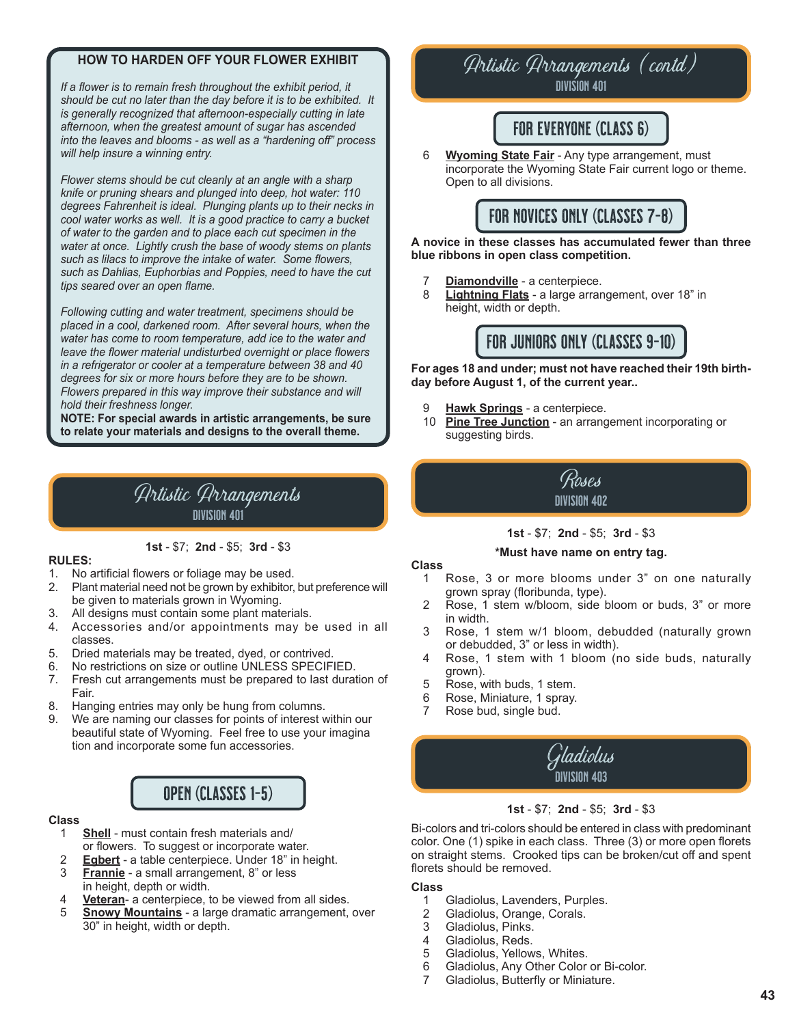### **HOW TO HARDEN OFF YOUR FLOWER EXHIBIT**

*If a flower is to remain fresh throughout the exhibit period, it should be cut no later than the day before it is to be exhibited. It is generally recognized that afternoon-especially cutting in late afternoon, when the greatest amount of sugar has ascended into the leaves and blooms - as well as a "hardening off" process will help insure a winning entry.* 

*Flower stems should be cut cleanly at an angle with a sharp knife or pruning shears and plunged into deep, hot water: 110 degrees Fahrenheit is ideal. Plunging plants up to their necks in cool water works as well. It is a good practice to carry a bucket of water to the garden and to place each cut specimen in the water at once. Lightly crush the base of woody stems on plants such as lilacs to improve the intake of water. Some flowers, such as Dahlias, Euphorbias and Poppies, need to have the cut tips seared over an open flame.*

*Following cutting and water treatment, specimens should be placed in a cool, darkened room. After several hours, when the water has come to room temperature, add ice to the water and leave the flower material undisturbed overnight or place flowers in a refrigerator or cooler at a temperature between 38 and 40 degrees for six or more hours before they are to be shown. Flowers prepared in this way improve their substance and will hold their freshness longer.*

**NOTE: For special awards in artistic arrangements, be sure to relate your materials and designs to the overall theme.**

### Artistic Arrangements division 401

#### **1st** - \$7; **2nd** - \$5; **3rd** - \$3

#### **RULES:**

- 1. No artificial flowers or foliage may be used.
- 2. Plant material need not be grown by exhibitor, but preference will be given to materials grown in Wyoming.
- 3. All designs must contain some plant materials.
- 4. Accessories and/or appointments may be used in all classes.
- 5. Dried materials may be treated, dyed, or contrived.
- 6. No restrictions on size or outline UNLESS SPECIFIED.
- 7. Fresh cut arrangements must be prepared to last duration of Fair.
- 8. Hanging entries may only be hung from columns.
- 9. We are naming our classes for points of interest within our beautiful state of Wyoming. Feel free to use your imagina tion and incorporate some fun accessories.

### OPEN (CLASSES 1-5)

#### **Class**

- 1 **Shell** must contain fresh materials and/ or flowers. To suggest or incorporate water.
- 2 **Egbert** a table centerpiece. Under 18" in height.
- **Frannie** a small arrangement, 8" or less in height, depth or width.<br>4 **Veteran-** a centerniece to
- Veteran- a centerpiece, to be viewed from all sides.
- 5 **Snowy Mountains** a large dramatic arrangement, over 30" in height, width or depth.

## Artistic Arrangements (contd)

division 401

### FOR EVERYONE (CLASS 6)

6 **Wyoming State Fair** - Any type arrangement, must incorporate the Wyoming State Fair current logo or theme. Open to all divisions.



#### **A novice in these classes has accumulated fewer than three blue ribbons in open class competition.**

- 7 **Diamondville** a centerpiece.
- **Lightning Flats** a large arrangement, over 18" in height, width or depth.



**For ages 18 and under; must not have reached their 19th birthday before August 1, of the current year..**

- 9 **Hawk Springs** a centerpiece.
- 10 **Pine Tree Junction** an arrangement incorporating or suggesting birds.



#### **1st** - \$7; **2nd** - \$5; **3rd** - \$3

#### **\*Must have name on entry tag.**

#### **Class**

- 1 Rose, 3 or more blooms under 3" on one naturally grown spray (floribunda, type).
- 2 Rose, 1 stem w/bloom, side bloom or buds, 3" or more in width.<br>3 Rose, 1
- Rose, 1 stem w/1 bloom, debudded (naturally grown or debudded, 3" or less in width).
- 4 Rose, 1 stem with 1 bloom (no side buds, naturally grown).
- 5 Rose, with buds, 1 stem.<br>6 Rose, Miniature, 1 sprav.
- Rose, Miniature, 1 spray.
- 7 Rose bud, single bud.



#### **1st** - \$7; **2nd** - \$5; **3rd** - \$3

Bi-colors and tri-colors should be entered in class with predominant color. One (1) spike in each class. Three (3) or more open florets on straight stems. Crooked tips can be broken/cut off and spent florets should be removed.

#### **Class**

- 1 Gladiolus, Lavenders, Purples.<br>2 Gladiolus. Orange. Corals.
- 2 Gladiolus, Orange, Corals.<br>3 Gladiolus, Pinks.
- 3 Gladiolus, Pinks.<br>4 Gladiolus, Reds.
- 4 Gladiolus, Reds.<br>5 Gladiolus, Yellow
- 
- 5 Gladiolus, Yellows, Whites.<br>6 Gladiolus, Any Other Color 6 Gladiolus, Any Other Color or Bi-color.
- 7 Gladiolus, Butterfly or Miniature.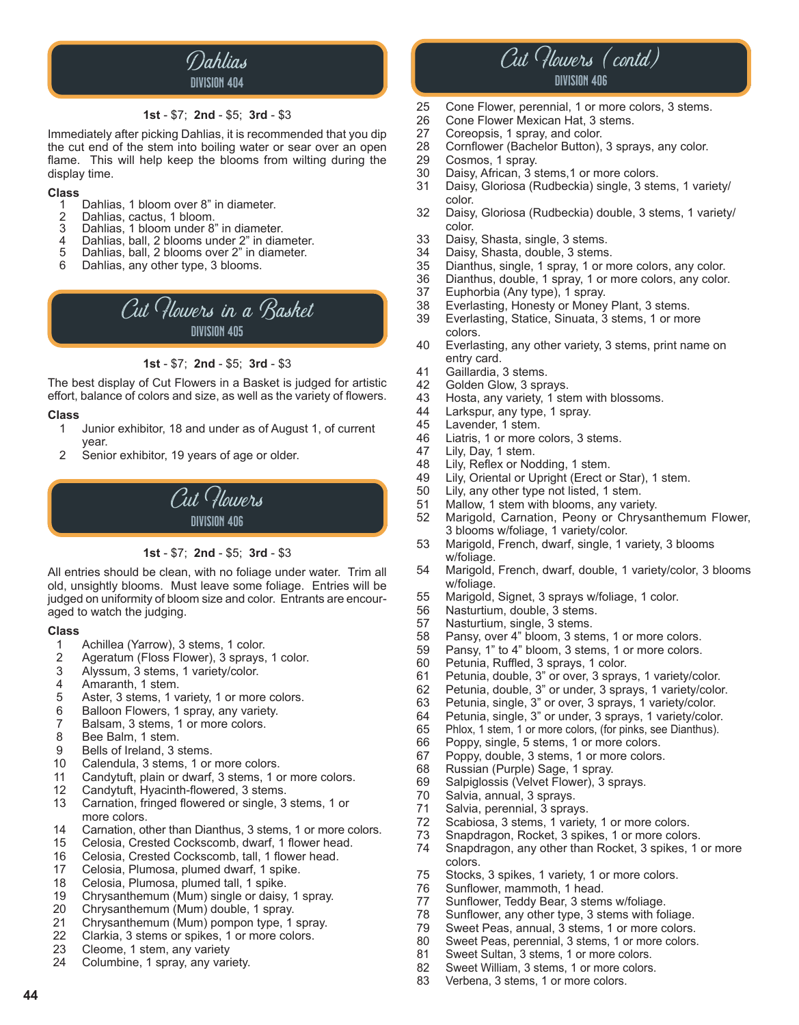

#### **1st** - \$7; **2nd** - \$5; **3rd** - \$3

Immediately after picking Dahlias, it is recommended that you dip the cut end of the stem into boiling water or sear over an open flame. This will help keep the blooms from wilting during the display time.

### **Class**

- 1 Dahlias, 1 bloom over 8" in diameter.<br>2 Dahlias, cactus, 1 bloom.
- 2 Dahlias, cactus, 1 bloom.
- 3 Dahlias, 1 bloom under 8" in diameter.<br>4 Dahlias, ball 2 blooms under 2" in diar
- 4 Dahlias, ball, 2 blooms under 2" in diameter.<br>5 Dahlias, ball, 2 blooms over 2" in diameter. Dahlias, ball, 2 blooms over 2" in diameter.
- 
- 6 Dahlias, any other type, 3 blooms.



**1st** - \$7; **2nd** - \$5; **3rd** - \$3

The best display of Cut Flowers in a Basket is judged for artistic effort, balance of colors and size, as well as the variety of flowers.

#### **Class**

- 1 Junior exhibitor, 18 and under as of August 1, of current year.
- 2 Senior exhibitor, 19 years of age or older.



#### **1st** - \$7; **2nd** - \$5; **3rd** - \$3

All entries should be clean, with no foliage under water. Trim all old, unsightly blooms. Must leave some foliage. Entries will be judged on uniformity of bloom size and color. Entrants are encouraged to watch the judging.

#### **Class**

**44**

- 1 Achillea (Yarrow), 3 stems, 1 color.
- 2 Ageratum (Floss Flower), 3 sprays, 1 color.<br>3 Alvssum. 3 stems. 1 variety/color.
- 3 Alyssum, 3 stems, 1 variety/color.<br>4 Amaranth. 1 stem.
- Amaranth, 1 stem.
- 5 Aster, 3 stems, 1 variety, 1 or more colors.
- 6 Balloon Flowers, 1 spray, any variety.
- 7 Balsam, 3 stems, 1 or more colors.
- 8 Bee Balm, 1 stem.
- 9 Bells of Ireland, 3 stems.
- 10 Calendula, 3 stems, 1 or more colors.
- 11 Candytuft, plain or dwarf, 3 stems, 1 or more colors.
- 12 Candytuft, Hyacinth-flowered, 3 stems.
- 13 Carnation, fringed flowered or single, 3 stems, 1 or more colors.<br>14 Carnation. of
- Carnation, other than Dianthus, 3 stems, 1 or more colors.
- 15 Celosia, Crested Cockscomb, dwarf, 1 flower head.
- 16 Celosia, Crested Cockscomb, tall, 1 flower head.
- 17 Celosia, Plumosa, plumed dwarf, 1 spike.
- 18 Celosia, Plumosa, plumed tall, 1 spike.<br>19 Chrysanthemum (Mum) single or daisy.
- 19 Chrysanthemum (Mum) single or daisy, 1 spray.<br>20 Chrysanthemum (Mum) double. 1 spray.
- 20 Chrysanthemum (Mum) double, 1 spray.
- 21 Chrysanthemum (Mum) pompon type, 1 spray.<br>22 Clarkia. 3 stems or spikes. 1 or more colors.
- 22 Clarkia, 3 stems or spikes, 1 or more colors.<br>23 Cleome, 1 stem, any variety
- 23 Cleome, 1 stem, any variety<br>24 Columbine, 1 sprav, any vari
- Columbine, 1 spray, any variety.



- 25 Cone Flower, perennial, 1 or more colors, 3 stems.<br>26 Cone Flower Mexican Hat. 3 stems.
- 26 Cone Flower Mexican Hat, 3 stems.<br>27 Coreopsis, 1 spray, and color.
- 27 Coreopsis, 1 spray, and color.<br>28 Cornflower (Bachelor Button),
- 28 Cornflower (Bachelor Button), 3 sprays, any color.
- 29 Cosmos, 1 spray.<br>30 Daisy, African, 3 s
- Daisy, African, 3 stems,1 or more colors.
- 31 Daisy, Gloriosa (Rudbeckia) single, 3 stems, 1 variety/ color.<br>32 Daisy,
- Daisy, Gloriosa (Rudbeckia) double, 3 stems, 1 variety/ color.<br>33 Daisy.
- 33 Daisy, Shasta, single, 3 stems.<br>34 Daisy, Shasta, double, 3 stems.
- 34 Daisy, Shasta, double, 3 stems.<br>35 Dianthus, single, 1 spray, 1 or m
- Dianthus, single, 1 spray, 1 or more colors, any color.
- 36 Dianthus, double, 1 spray, 1 or more colors, any color.
- 37 Euphorbia (Any type), 1 spray.<br>38 Everlasting, Honesty or Money
- 38 Everlasting, Honesty or Money Plant, 3 stems.
- Everlasting, Statice, Sinuata, 3 stems, 1 or more
- colors.<br>40 Everla Everlasting, any other variety, 3 stems, print name on entry card.<br>41 Gaillardia,
- 41 Gaillardia, 3 stems.<br>42 Golden Glow, 3 spra
- 42 Golden Glow, 3 sprays.<br>43 Hosta, any variety, 1 ste
- 43 Hosta, any variety, 1 stem with blossoms.<br>44 Larkspur, any type, 1 spray.
- 44 Larkspur, any type, 1 spray.<br>45 Lavender, 1 stem.
- Lavender, 1 stem.
- 46 Liatris, 1 or more colors, 3 stems.<br>47 Lily, Day, 1 stem.
- 47 Lily, Day, 1 stem.<br>48 Lily, Reflex or Noor
- Lily, Reflex or Nodding, 1 stem.
- 49 Lily, Oriental or Upright (Erect or Star), 1 stem.<br>50 Lily, any other type not listed, 1 stem.
- Lily, any other type not listed, 1 stem.
- 51 Mallow, 1 stem with blooms, any variety.<br>52 Marigold, Carnation, Peony or Chrysar
- Marigold, Carnation, Peony or Chrysanthemum Flower, 3 blooms w/foliage, 1 variety/color.<br>53 Marigold, French, dwarf, single, 1 v
- Marigold, French, dwarf, single, 1 variety, 3 blooms w/foliage.
- 54 Marigold, French, dwarf, double, 1 variety/color, 3 blooms w/foliage.<br>55 Marigold,
- 55 Marigold, Signet, 3 sprays w/foliage, 1 color.
- 56 Nasturtium, double, 3 stems.<br>57 Nasturtium, single, 3 stems.
- 57 Nasturtium, single, 3 stems.<br>58 Pansy, over 4" bloom, 3 sten
- 58 Pansy, over 4" bloom, 3 stems, 1 or more colors.<br>59 Pansy, 1" to 4" bloom, 3 stems, 1 or more colors.
- 59 Pansy, 1" to 4" bloom, 3 stems, 1 or more colors.<br>60 Petunia. Ruffled. 3 sprays. 1 color.
- 60 Petunia, Ruffled, 3 sprays, 1 color.<br>61 Petunia, double, 3" or over, 3 spray
- 61 Petunia, double, 3" or over, 3 sprays, 1 variety/color.
- Petunia, double, 3" or under, 3 sprays, 1 variety/color.
- 63 Petunia, single, 3" or over, 3 sprays, 1 variety/color.
- 
- 64 Petunia, single, 3" or under, 3 sprays, 1 variety/color.<br>65 Phlox, 1 stem, 1 or more colors, (for pinks, see Dianthus). 65 Phlox, 1 stem, 1 or more colors, (for pinks, see Dianthus).
- 66 Poppy, single, 5 stems, 1 or more colors.<br>67 Poppy, double, 3 stems, 1 or more colors
- 67 Poppy, double, 3 stems, 1 or more colors.<br>68 Russian (Purple) Sage, 1 spray.
- 
- 68 Russian (Purple) Sage, 1 spray.<br>69 Salpiglossis (Velvet Flower). 3 s Salpiglossis (Velvet Flower), 3 sprays.
- 70 Salvia, annual, 3 sprays.
- 71 Salvia, perennial, 3 sprays.
- 72 Scabiosa, 3 stems, 1 variety, 1 or more colors.
- 73 Snapdragon, Rocket, 3 spikes, 1 or more colors.
- Snapdragon, any other than Rocket, 3 spikes, 1 or more colors.<br>75 Stocks.
- 75 Stocks, 3 spikes, 1 variety, 1 or more colors.<br>76 Sunflower, mammoth, 1 head.
- Sunflower, mammoth, 1 head.
- 77 Sunflower, Teddy Bear, 3 stems w/foliage.<br>78 Sunflower, any other type, 3 stems with fol
- 

Sweet Sultan, 3 stems, 1 or more colors. 82 Sweet William, 3 stems, 1 or more colors.<br>83 Verbena, 3 stems, 1 or more colors. Verbena, 3 stems, 1 or more colors.

78 Sunflower, any other type, 3 stems with foliage. 79 Sweet Peas, annual, 3 stems, 1 or more colors.<br>80 Sweet Peas, perennial, 3 stems, 1 or more colors. 80 Sweet Peas, perennial, 3 stems, 1 or more colors.<br>81 Sweet Sultan, 3 stems, 1 or more colors.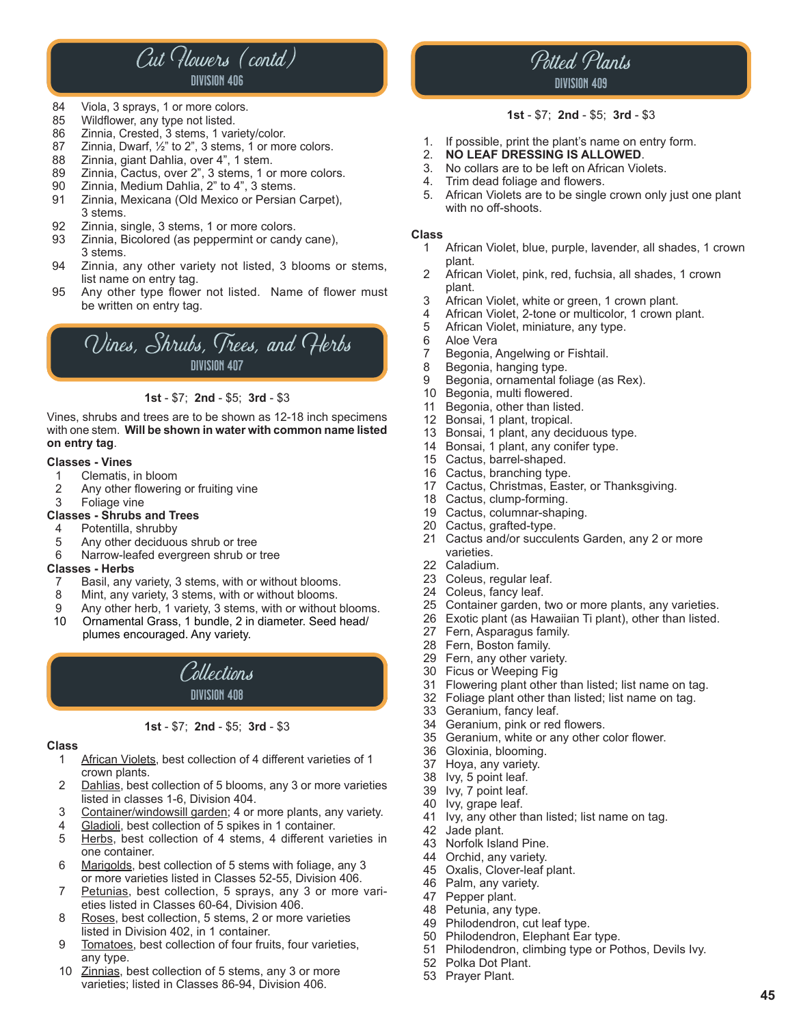### Cut Flowers (contd) division 406

- 84 Viola, 3 sprays, 1 or more colors.
- 85 Wildflower, any type not listed.
- 
- 86 Zinnia, Crested, 3 stems, 1 variety/color.<br>87 Zinnia, Dwarf, 1/<sub>2</sub>" to 2", 3 stems, 1 or mor 87 Zinnia, Dwarf, 1/<sub>2</sub>" to 2", 3 stems, 1 or more colors.<br>88 Zinnia, giant Dahlia, over 4", 1 stem.
- 
- 88 Zinnia, giant Dahlia, over 4", 1 stem.<br>89 Zinnia, Cactus, over 2", 3 stems, 1 or
- 89 Zinnia, Cactus, over 2", 3 stems, 1 or more colors.<br>90 Zinnia. Medium Dahlia. 2" to 4". 3 stems.
- 90 Zinnia, Medium Dahlia, 2" to 4", 3 stems.<br>91 Zinnia, Mexicana (Old Mexico or Persian Zinnia, Mexicana (Old Mexico or Persian Carpet), 3 stems.<br>92 Zinnia. si
- 92 Zinnia, single, 3 stems, 1 or more colors.<br>93 Zinnia, Bicolored (as peppermint or candy
- Zinnia, Bicolored (as peppermint or candy cane), 3 stems.
- 94 Zinnia, any other variety not listed, 3 blooms or stems, list name on entry tag.<br>95 Any other type flowe
- Any other type flower not listed. Name of flower must be written on entry tag.



#### **1st** - \$7; **2nd** - \$5; **3rd** - \$3

Vines, shrubs and trees are to be shown as 12-18 inch specimens with one stem. **Will be shown in water with common name listed on entry tag**.

#### **Classes - Vines**

- 1 Clematis, in bloom<br>2 Any other flowering
- 2 Any other flowering or fruiting vine<br>3 Foliage vine
- Foliage vine

#### **Classes - Shrubs and Trees**

- 4 Potentilla, shrubby
- 5 Any other deciduous shrub or tree<br>6 Narrow-leafed evergreen shrub or
- Narrow-leafed evergreen shrub or tree

#### **Classes - Herbs**

- 7 Basil, any variety, 3 stems, with or without blooms.
- 8 Mint, any variety, 3 stems, with or without blooms.
- 9 Any other herb, 1 variety, 3 stems, with or without blooms.<br>10 Ornamental Grass. 1 bundle. 2 in diameter. Seed head/ Ornamental Grass, 1 bundle, 2 in diameter. Seed head/
- plumes encouraged. Any variety.



#### **1st** - \$7; **2nd** - \$5; **3rd** - \$3

#### **Class**

- 1 African Violets, best collection of 4 different varieties of 1 crown plants.<br>2 Dahlias. best
- Dahlias, best collection of 5 blooms, any 3 or more varieties listed in classes 1-6, Division 404.<br>3 Container/windowsill garden: 4 or
- Container/windowsill garden; 4 or more plants, any variety.
- 4 Gladioli, best collection of 5 spikes in 1 container.<br>5 Herbs, best collection of 4 stems, 4 different va
- Herbs, best collection of 4 stems, 4 different varieties in one container.<br>6 Marigolds, bes
- 6 Marigolds, best collection of 5 stems with foliage, any 3 or more varieties listed in Classes 52-55, Division 406.
- Petunias, best collection, 5 sprays, any 3 or more varieties listed in Classes 60-64, Division 406.
- 8 Roses, best collection, 5 stems, 2 or more varieties listed in Division 402, in 1 container.
- 9 Tomatoes, best collection of four fruits, four varieties, any type.<br>10 Zinnias. b
- Zinnias, best collection of 5 stems, any 3 or more varieties; listed in Classes 86-94, Division 406.

### Potted Plants division 409

#### **1st** - \$7; **2nd** - \$5; **3rd** - \$3

- 1. If possible, print the plant's name on entry form.<br>2 **NO LEAF DRESSING IS ALLOWED**
- 2. **NO LEAF DRESSING IS ALLOWED**.
- No collars are to be left on African Violets.
- 4. Trim dead foliage and flowers.<br>5. African Violets are to be single
- African Violets are to be single crown only just one plant with no off-shoots.

#### **Class**

- 1 African Violet, blue, purple, lavender, all shades, 1 crown plant.<br>2 Africa
- African Violet, pink, red, fuchsia, all shades, 1 crown plant.<br>3 Africa
- African Violet, white or green, 1 crown plant.
- 4 African Violet, 2-tone or multicolor, 1 crown plant.<br>5 African Violet, miniature, any type.
- 5 African Violet, miniature, any type.
- 6 Aloe Vera<br>7 Begonia.
- 7 Begonia, Angelwing or Fishtail.<br>8 Begonia, hanging type.
- 8 Begonia, hanging type.<br>9 Begonia, ornamental fo
- Begonia, ornamental foliage (as Rex).
- 10 Begonia, multi flowered.
- 11 Begonia, other than listed.<br>12 Bonsai, 1 plant, tropical.
- Bonsai, 1 plant, tropical.
- 13 Bonsai, 1 plant, any deciduous type.
- 14 Bonsai, 1 plant, any conifer type.
- 15 Cactus, barrel-shaped.
- 16 Cactus, branching type.
- 17 Cactus, Christmas, Easter, or Thanksgiving.<br>18 Cactus, clump-forming
- Cactus, clump-forming.
- 19 Cactus, columnar-shaping.
- 20 Cactus, grafted-type.
- 21 Cactus and/or succulents Garden, any 2 or more varieties.
- 22 Caladium.
- 23 Coleus, regular leaf.
- 24 Coleus, fancy leaf.<br>25 Container garden, t
- Container garden, two or more plants, any varieties.
- 26 Exotic plant (as Hawaiian Ti plant), other than listed.
- 27 Fern, Asparagus family.
- 28 Fern, Boston family.
- 29 Fern, any other variety.
- 30 Ficus or Weeping Fig<br>31 Flowering plant other
- Flowering plant other than listed; list name on tag.
- 32 Foliage plant other than listed; list name on tag.
- 
- 33 Geranium, fancy leaf.<br>34 Geranium, pink or red
- 34 Geranium, pink or red flowers.<br>35 Geranium, white or any other o Geranium, white or any other color flower.
- 36 Gloxinia, blooming.<br>37 Hoya, any variety.
- Hoya, any variety.
- 38 Ivy, 5 point leaf.<br>39 Ivy, 7 point leaf.
- Ivy, 7 point leaf.
- 40 Ivy, grape leaf.<br>41 Ivy, any other tl
- Ivy, any other than listed; list name on tag.
- 42 Jade plant.
- 43 Norfolk Island Pine.
- 44 Orchid, any variety.
- 45 Oxalis, Clover-leaf plant.<br>46 Palm, any variety.
- 46 Palm, any variety.<br>47 Pepper plant.
- 47 Pepper plant.<br>48 Petunia, any t
- 48 Petunia, any type.<br>49 Philodendron, cut l

52 Polka Dot Plant. 53 Prayer Plant.

- 49 Philodendron, cut leaf type.<br>50 Philodendron, Flephant Far
- Philodendron, Elephant Ear type. 51 Philodendron, climbing type or Pothos, Devils Ivy.

**45**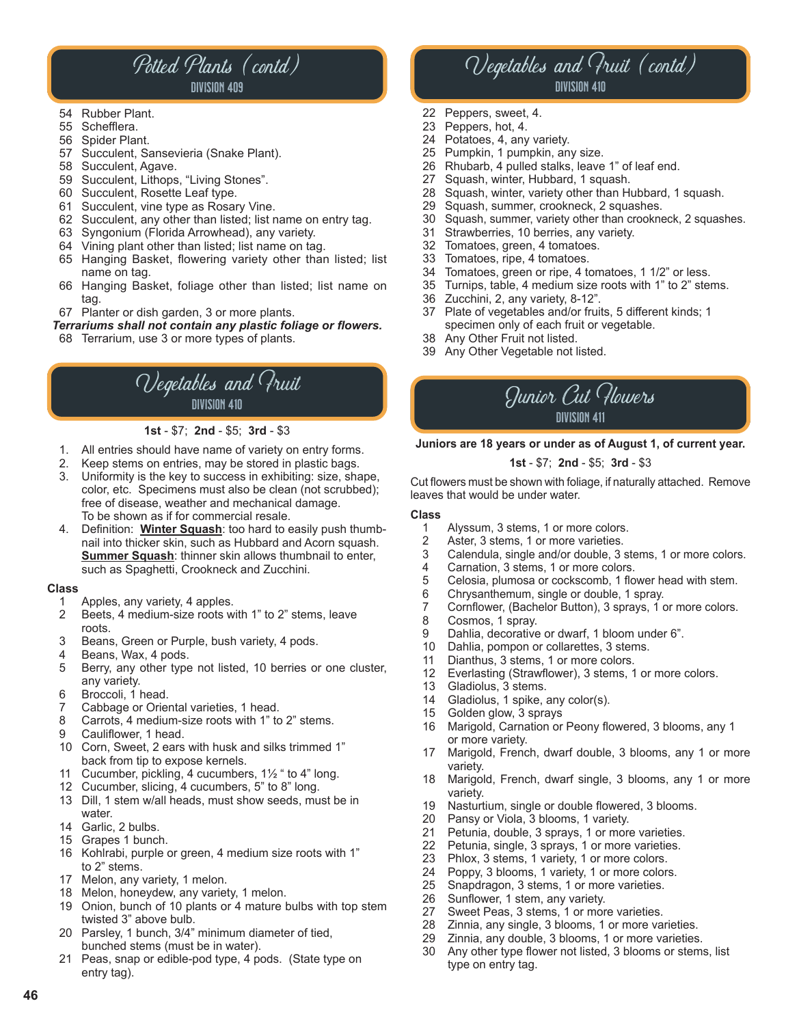# Potted Plants (contd)

### division 409

- 54 Rubber Plant.<br>55 Schefflera.
- Schefflera.
- 56 Spider Plant.
- 57 Succulent, Sansevieria (Snake Plant).
- 58 Succulent, Agave.
- 59 Succulent, Lithops, "Living Stones".
- 60 Succulent, Rosette Leaf type.
- 61 Succulent, vine type as Rosary Vine.
- 62 Succulent, any other than listed; list name on entry tag.
- 63 Syngonium (Florida Arrowhead), any variety.
- 64 Vining plant other than listed; list name on tag.
- 65 Hanging Basket, flowering variety other than listed; list name on tag.
- 66 Hanging Basket, foliage other than listed; list name on tag.
- 67 Planter or dish garden, 3 or more plants.

*Terrariums shall not contain any plastic foliage or flowers.*

68 Terrarium, use 3 or more types of plants.

### Vegetables and Fruit division 410

**1st** - \$7; **2nd** - \$5; **3rd** - \$3

- 1. All entries should have name of variety on entry forms.
- Keep stems on entries, may be stored in plastic bags.
- 3. Uniformity is the key to success in exhibiting: size, shape, color, etc. Specimens must also be clean (not scrubbed); free of disease, weather and mechanical damage. To be shown as if for commercial resale.
- 4. Definition: **Winter Squash**: too hard to easily push thumb nail into thicker skin, such as Hubbard and Acorn squash. **Summer Squash:** thinner skin allows thumbnail to enter, such as Spaghetti, Crookneck and Zucchini.

#### **Class**

**46**

- 1 Apples, any variety, 4 apples.
- 2 Beets, 4 medium-size roots with 1" to 2" stems, leave
- roots.<br>3 Beans Beans, Green or Purple, bush variety, 4 pods.
- 4 Beans, Wax, 4 pods.
- 5 Berry, any other type not listed, 10 berries or one cluster, any variety.
- 
- 6 Broccoli, 1 head.<br>7 Cabbage or Orier 7 Cabbage or Oriental varieties, 1 head.
- Carrots, 4 medium-size roots with 1" to 2" stems.
- 9 Cauliflower, 1 head.
- 10 Corn, Sweet, 2 ears with husk and silks trimmed 1" back from tip to expose kernels.
- 11 Cucumber, pickling, 4 cucumbers, 1½ " to 4" long.
- 12 Cucumber, slicing, 4 cucumbers, 5" to 8" long.
- 13 Dill, 1 stem w/all heads, must show seeds, must be in water.
- 14 Garlic, 2 bulbs.
- 15 Grapes 1 bunch.
- 16 Kohlrabi, purple or green, 4 medium size roots with 1" to 2" stems.
- 17 Melon, any variety, 1 melon.
- 18 Melon, honeydew, any variety, 1 melon.
- 19 Onion, bunch of 10 plants or 4 mature bulbs with top stem twisted 3" above bulb.
- 20 Parsley, 1 bunch, 3/4" minimum diameter of tied, bunched stems (must be in water).
- 21 Peas, snap or edible-pod type, 4 pods. (State type on entry tag).

### Vegetables and Fruit (contd) division 410

- 22 Peppers, sweet, 4.
- 23 Peppers, hot, 4.
- 24 Potatoes, 4, any variety.
- 25 Pumpkin, 1 pumpkin, any size.
- 26 Rhubarb, 4 pulled stalks, leave 1" of leaf end.
- 27 Squash, winter, Hubbard, 1 squash.
- 28 Squash, winter, variety other than Hubbard, 1 squash.<br>29 Squash, summer, crookneck, 2 squashes
- 29 Squash, summer, crookneck, 2 squashes.<br>30 Squash, summer, variety other than crookne
- Squash, summer, variety other than crookneck, 2 squashes.
- 31 Strawberries, 10 berries, any variety.<br>32 Tomatoes, green, 4 tomatoes.
- Tomatoes, green, 4 tomatoes.
- 33 Tomatoes, ripe, 4 tomatoes.
- 34 Tomatoes, green or ripe, 4 tomatoes, 1 1/2" or less.<br>35 Turnips, table, 4 medium size roots with 1" to 2" ster
- Turnips, table, 4 medium size roots with 1" to 2" stems.
- 36 Zucchini, 2, any variety, 8-12".
- Plate of vegetables and/or fruits, 5 different kinds; 1 specimen only of each fruit or vegetable.
- Any Other Fruit not listed.
- 39 Any Other Vegetable not listed.



#### **Juniors are 18 years or under as of August 1, of current year.**

#### **1st** - \$7; **2nd** - \$5; **3rd** - \$3

Cut flowers must be shown with foliage, if naturally attached. Remove leaves that would be under water.

#### **Class**

- 1 Alyssum, 3 stems, 1 or more colors.<br>2 Aster, 3 stems, 1 or more varieties.
- 2 Aster, 3 stems, 1 or more varieties.<br>3 Calendula, single and/or double, 3
- Calendula, single and/or double, 3 stems, 1 or more colors.
- 4 Carnation, 3 stems, 1 or more colors.<br>5 Celosia. plumosa or cockscomb. 1 flo
- 5 Celosia, plumosa or cockscomb, 1 flower head with stem.
- 6 Chrysanthemum, single or double, 1 spray.
- 7 Cornflower, (Bachelor Button), 3 sprays, 1 or more colors.
- 8 Cosmos, 1 spray.<br>9 Dahlia, decorative
- 9 Dahlia, decorative or dwarf, 1 bloom under 6".<br>10 Dahlia, pompon or collarettes, 3 stems.
- Dahlia, pompon or collarettes, 3 stems.
- 11 Dianthus, 3 stems, 1 or more colors.
- 12 Everlasting (Strawflower), 3 stems, 1 or more colors.
- 13 Gladiolus, 3 stems.
- 14 Gladiolus, 1 spike, any color(s).
- 15 Golden glow, 3 sprays
- 16 Marigold, Carnation or Peony flowered, 3 blooms, any 1 or more variety.<br>17 Marigold Frenc
- Marigold, French, dwarf double, 3 blooms, any 1 or more variety.
- 18 Marigold, French, dwarf single, 3 blooms, any 1 or more variety.<br>19 Nasturt
- Nasturtium, single or double flowered, 3 blooms.
- 20 Pansy or Viola, 3 blooms, 1 variety.
- 21 Petunia, double, 3 sprays, 1 or more varieties.
- 22 Petunia, single, 3 sprays, 1 or more varieties.
- 23 Phlox, 3 stems, 1 variety, 1 or more colors.<br>24 Poppy, 3 blooms, 1 variety, 1 or more colors
- 24 Poppy, 3 blooms, 1 variety, 1 or more colors.<br>25 Snapdragon, 3 stems, 1 or more varieties.
- 25 Snapdragon, 3 stems, 1 or more varieties.<br>26 Sunflower, 1 stem, anv variety.
- Sunflower, 1 stem, any variety.
- 27 Sweet Peas, 3 stems, 1 or more varieties.
- 28 Zinnia, any single, 3 blooms, 1 or more varieties.
- 29 Zinnia, any double, 3 blooms, 1 or more varieties.
- Any other type flower not listed, 3 blooms or stems, list type on entry tag.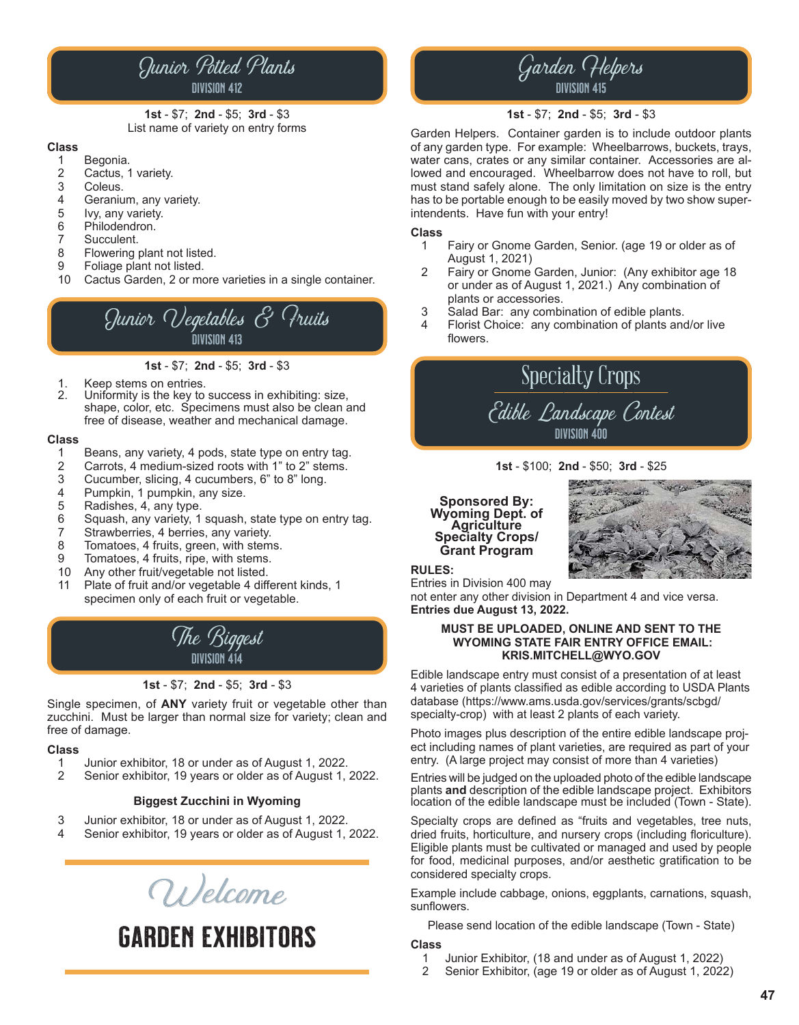### Junior Potted Plants division 412

**1st** - \$7; **2nd** - \$5; **3rd** - \$3 List name of variety on entry forms

#### **Class**

- 1 Begonia.<br>2 Cactus, 1
- 2 Cactus, 1 variety.<br>3 Coleus.
- 3 Coleus.<br>4 Geraniu
- 4 Geranium, any variety.<br>5 Ivy, any variety.
- 5 Ivy, any variety.<br>6 Philodendron.
- 6 Philodendron.<br>7 Succulent.
- 7 Succulent.<br>8 Flowering r
- Flowering plant not listed.
- 
- 9 Foliage plant not listed.<br>10 Cactus Garden, 2 or mo Cactus Garden, 2 or more varieties in a single container.

Junior Vegetables & Fruits division 413

**1st** - \$7; **2nd** - \$5; **3rd** - \$3

- 1. Keep stems on entries.<br>2. Uniformity is the key to
- Uniformity is the key to success in exhibiting: size, shape, color, etc. Specimens must also be clean and free of disease, weather and mechanical damage.

#### **Class**

- 1 Beans, any variety, 4 pods, state type on entry tag.<br>2 Carrots, 4 medium-sized roots with 1" to 2" stems.
- 2 Carrots, 4 medium-sized roots with 1" to 2" stems.<br>3 Cucumber, slicing, 4 cucumbers, 6" to 8" long.
- 3 Cucumber, slicing, 4 cucumbers, 6" to 8" long.<br>4 Pumpkin. 1 pumpkin. anv size.
- 4 Pumpkin, 1 pumpkin, any size.<br>5 Radishes, 4, any type.
- 
- 5 Radishes, 4, any type.<br>6 Squash, any variety, 1 6 Squash, any variety, 1 squash, state type on entry tag.
- 7 Strawberries, 4 berries, any variety.
- 8 Tomatoes, 4 fruits, green, with stems.<br>9 Tomatoes. 4 fruits, ripe, with stems.
- 9 Tomatoes, 4 fruits, ripe, with stems.<br>10 Any other fruit/yegetable not listed.
- Any other fruit/vegetable not listed.
- 11 Plate of fruit and/or vegetable 4 different kinds, 1 specimen only of each fruit or vegetable.



#### **1st** - \$7; **2nd** - \$5; **3rd** - \$3

Single specimen, of **ANY** variety fruit or vegetable other than zucchini. Must be larger than normal size for variety; clean and free of damage.

### **Class**

- 1 Junior exhibitor, 18 or under as of August 1, 2022.
- 2 Senior exhibitor, 19 years or older as of August 1, 2022.

#### **Biggest Zucchini in Wyoming**

- 3 Junior exhibitor, 18 or under as of August 1, 2022.
- Senior exhibitor, 19 years or older as of August 1, 2022.

Wel<sup>c</sup>om<sup>e</sup>

Garden Exhibitors

### Garden Helpers division 415

#### **1st** - \$7; **2nd** - \$5; **3rd** - \$3

Garden Helpers. Container garden is to include outdoor plants of any garden type. For example: Wheelbarrows, buckets, trays, water cans, crates or any similar container. Accessories are allowed and encouraged. Wheelbarrow does not have to roll, but must stand safely alone. The only limitation on size is the entry has to be portable enough to be easily moved by two show superintendents. Have fun with your entry!

### **Class**

- Fairy or Gnome Garden, Senior. (age 19 or older as of August 1, 2021)
- 2 Fairy or Gnome Garden, Junior: (Any exhibitor age 18 or under as of August 1, 2021.) Any combination of plants or accessories.<br>3 Salad Bar: any combi
- 3 Salad Bar: any combination of edible plants.
- Florist Choice: any combination of plants and/or live flowers.

# Specialty Crops Edible Landscape Contest

division 400

**1st** - \$100; **2nd** - \$50; **3rd** - \$25

### **Sponsored By: Magriculture**<br>**Specialty Crops/ Grant Program**



#### **RULES:**

Entries in Division 400 may

not enter any other division in Department 4 and vice versa. **Entries due August 13, 2022.**

#### **MUST BE UPLOADED, ONLINE AND SENT TO THE WYOMING STATE FAIR ENTRY OFFICE EMAIL: KRIS.MITCHELL@WYO.GOV**

Edible landscape entry must consist of a presentation of at least 4 varieties of plants classified as edible according to USDA Plants database (https://www.ams.usda.gov/services/grants/scbgd/ specialty-crop) with at least 2 plants of each variety.

Photo images plus description of the entire edible landscape project including names of plant varieties, are required as part of your entry. (A large project may consist of more than 4 varieties)

Entries will be judged on the uploaded photo of the edible landscape plants **and** description of the edible landscape project. Exhibitors location of the edible landscape must be included (Town - State).

Specialty crops are defined as "fruits and vegetables, tree nuts, dried fruits, horticulture, and nursery crops (including floriculture). Eligible plants must be cultivated or managed and used by people for food, medicinal purposes, and/or aesthetic gratification to be considered specialty crops.

Example include cabbage, onions, eggplants, carnations, squash, sunflowers.

Please send location of the edible landscape (Town - State)

**Class**

- 1 Junior Exhibitor, (18 and under as of August 1, 2022)
- 2 Senior Exhibitor, (age 19 or older as of August 1, 2022)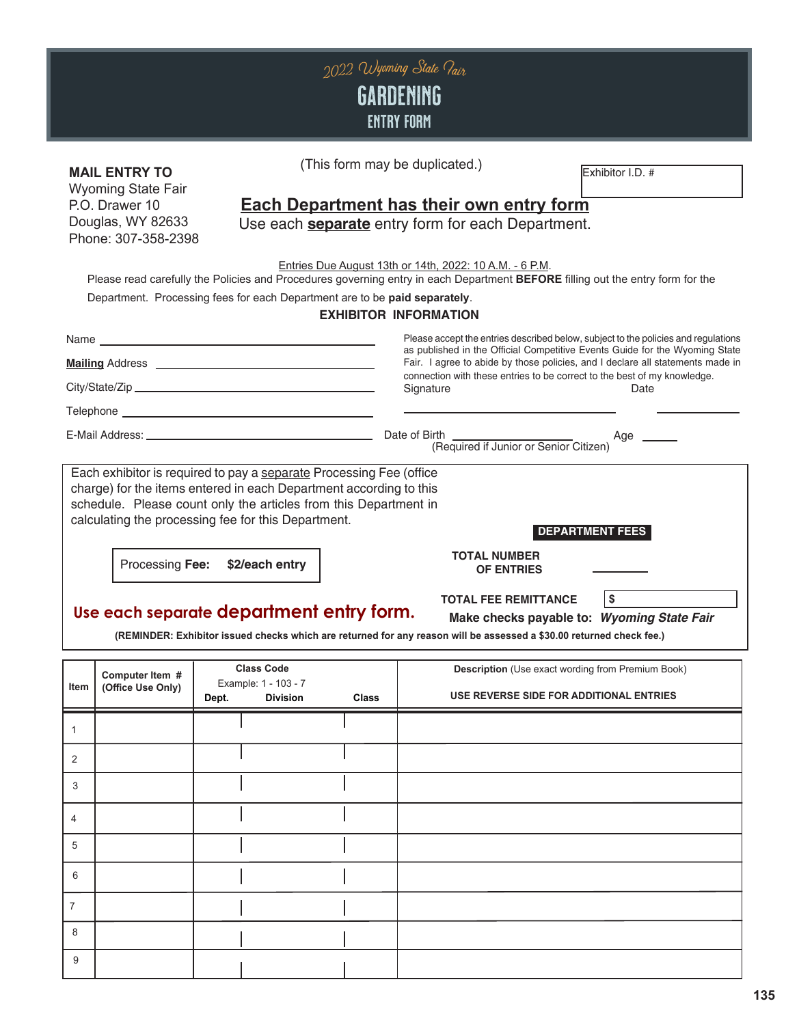

Wyoming State Fair P.O. Drawer 10 Douglas, WY 82633 Phone: 307-358-2398

#### **MAIL ENTRY TO** (This form may be duplicated.) Exhibitor I.D. # (This form may be duplicated.)

### **Each Department has their own entry form**

Use each **separate** entry form for each Department.

Entries Due August 13th or 14th, 2022: 10 A.M. - 6 P.M.

Please read carefully the Policies and Procedures governing entry in each Department **BEFORE** filling out the entry form for the

Department. Processing fees for each Department are to be **paid separately**.

**EXHIBITOR INFORMATION**

|                |                                      |                                                                                                                                                                                                                                                                                        |              | Please accept the entries described below, subject to the policies and regulations<br>as published in the Official Competitive Events Guide for the Wyoming State<br>Fair. I agree to abide by those policies, and I declare all statements made in |  |  |
|----------------|--------------------------------------|----------------------------------------------------------------------------------------------------------------------------------------------------------------------------------------------------------------------------------------------------------------------------------------|--------------|-----------------------------------------------------------------------------------------------------------------------------------------------------------------------------------------------------------------------------------------------------|--|--|
|                |                                      |                                                                                                                                                                                                                                                                                        |              | connection with these entries to be correct to the best of my knowledge.<br>Signature<br>Date                                                                                                                                                       |  |  |
|                |                                      |                                                                                                                                                                                                                                                                                        |              |                                                                                                                                                                                                                                                     |  |  |
|                | Processing Fee:                      | Each exhibitor is required to pay a separate Processing Fee (office<br>charge) for the items entered in each Department according to this<br>schedule. Please count only the articles from this Department in<br>calculating the processing fee for this Department.<br>\$2/each entry |              | <b>DEPARTMENT FEES</b><br><b>TOTAL NUMBER</b><br><b>OF ENTRIES</b>                                                                                                                                                                                  |  |  |
|                |                                      | Use each separate department entry form.                                                                                                                                                                                                                                               |              | $\sqrt{3}$<br><b>TOTAL FEE REMITTANCE</b><br>Make checks payable to: Wyoming State Fair<br>(REMINDER: Exhibitor issued checks which are returned for any reason will be assessed a \$30.00 returned check fee.)                                     |  |  |
| Item           | Computer Item #<br>(Office Use Only) | <b>Class Code</b><br>Example: 1 - 103 - 7<br>Dept.<br><b>Division</b>                                                                                                                                                                                                                  | <b>Class</b> | <b>Description</b> (Use exact wording from Premium Book)<br>USE REVERSE SIDE FOR ADDITIONAL ENTRIES                                                                                                                                                 |  |  |
| $\mathbf{1}$   |                                      |                                                                                                                                                                                                                                                                                        |              |                                                                                                                                                                                                                                                     |  |  |
| 2              |                                      |                                                                                                                                                                                                                                                                                        |              |                                                                                                                                                                                                                                                     |  |  |
| 3              |                                      |                                                                                                                                                                                                                                                                                        |              |                                                                                                                                                                                                                                                     |  |  |
| 4              |                                      |                                                                                                                                                                                                                                                                                        |              |                                                                                                                                                                                                                                                     |  |  |
| 5              |                                      |                                                                                                                                                                                                                                                                                        |              |                                                                                                                                                                                                                                                     |  |  |
| 6              |                                      |                                                                                                                                                                                                                                                                                        |              |                                                                                                                                                                                                                                                     |  |  |
| $\overline{7}$ |                                      |                                                                                                                                                                                                                                                                                        |              |                                                                                                                                                                                                                                                     |  |  |
| 8              |                                      |                                                                                                                                                                                                                                                                                        |              |                                                                                                                                                                                                                                                     |  |  |
| 9              |                                      |                                                                                                                                                                                                                                                                                        |              |                                                                                                                                                                                                                                                     |  |  |